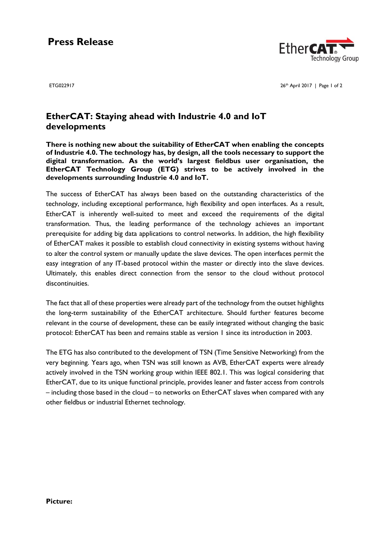# **Press Release**



ETG022917 26

26th April 2017 | Page 1 of 2

### **EtherCAT: Staying ahead with Industrie 4.0 and IoT developments**

**There is nothing new about the suitability of EtherCAT when enabling the concepts of Industrie 4.0. The technology has, by design, all the tools necessary to support the digital transformation. As the world's largest fieldbus user organisation, the EtherCAT Technology Group (ETG) strives to be actively involved in the developments surrounding Industrie 4.0 and IoT.**

The success of EtherCAT has always been based on the outstanding characteristics of the technology, including exceptional performance, high flexibility and open interfaces. As a result, EtherCAT is inherently well-suited to meet and exceed the requirements of the digital transformation. Thus, the leading performance of the technology achieves an important prerequisite for adding big data applications to control networks. In addition, the high flexibility of EtherCAT makes it possible to establish cloud connectivity in existing systems without having to alter the control system or manually update the slave devices. The open interfaces permit the easy integration of any IT-based protocol within the master or directly into the slave devices. Ultimately, this enables direct connection from the sensor to the cloud without protocol discontinuities.

The fact that all of these properties were already part of the technology from the outset highlights the long-term sustainability of the EtherCAT architecture. Should further features become relevant in the course of development, these can be easily integrated without changing the basic protocol: EtherCAT has been and remains stable as version 1 since its introduction in 2003.

The ETG has also contributed to the development of TSN (Time Sensitive Networking) from the very beginning. Years ago, when TSN was still known as AVB, EtherCAT experts were already actively involved in the TSN working group within IEEE 802.1. This was logical considering that EtherCAT, due to its unique functional principle, provides leaner and faster access from controls – including those based in the cloud – to networks on EtherCAT slaves when compared with any other fieldbus or industrial Ethernet technology.